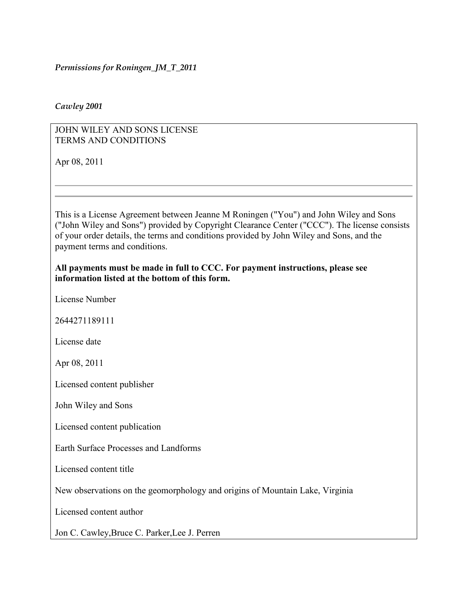*Permissions for Roningen\_JM\_T\_2011*

*Cawley 2001*

JOHN WILEY AND SONS LICENSE TERMS AND CONDITIONS

Apr 08, 2011

This is a License Agreement between Jeanne M Roningen ("You") and John Wiley and Sons ("John Wiley and Sons") provided by Copyright Clearance Center ("CCC"). The license consists of your order details, the terms and conditions provided by John Wiley and Sons, and the payment terms and conditions.

**All payments must be made in full to CCC. For payment instructions, please see information listed at the bottom of this form.**

License Number

2644271189111

License date

Apr 08, 2011

Licensed content publisher

John Wiley and Sons

Licensed content publication

Earth Surface Processes and Landforms

Licensed content title

New observations on the geomorphology and origins of Mountain Lake, Virginia

Licensed content author

Jon C. Cawley,Bruce C. Parker,Lee J. Perren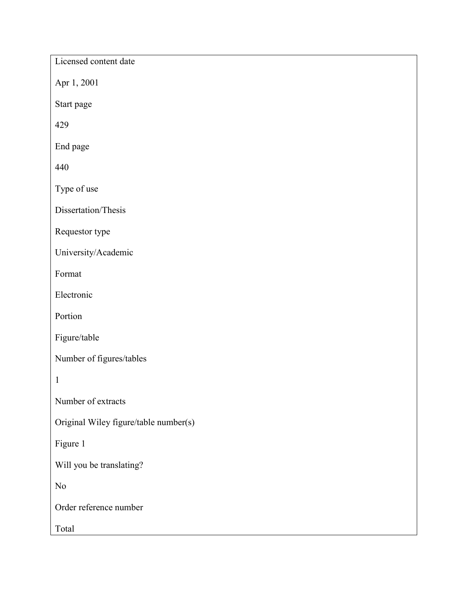Licensed content date Apr 1, 2001 Start page 429 End page 440 Type of use Dissertation/Thesis Requestor type University/Academic Format Electronic Portion Figure/table Number of figures/tables 1 Number of extracts Original Wiley figure/table number(s) Figure 1 Will you be translating? No Order reference number Total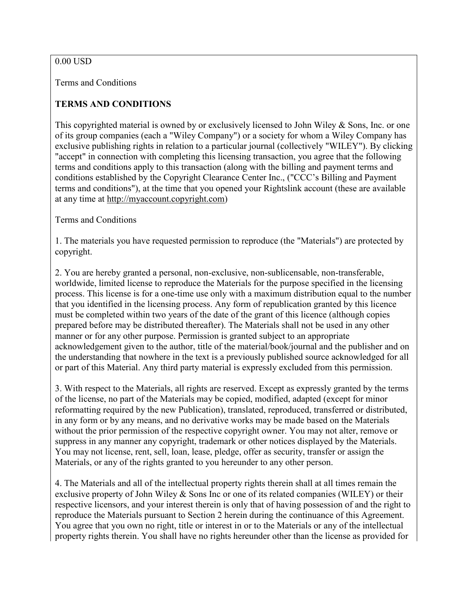#### 0.00 USD

Terms and Conditions

# **TERMS AND CONDITIONS**

This copyrighted material is owned by or exclusively licensed to John Wiley & Sons, Inc. or one of its group companies (each a "Wiley Company") or a society for whom a Wiley Company has exclusive publishing rights in relation to a particular journal (collectively "WILEY"). By clicking "accept" in connection with completing this licensing transaction, you agree that the following terms and conditions apply to this transaction (along with the billing and payment terms and conditions established by the Copyright Clearance Center Inc., ("CCC's Billing and Payment terms and conditions"), at the time that you opened your Rightslink account (these are available at any time at [http://myaccount.copyright.com\)](http://myaccount.copyright.com/)

Terms and Conditions

1. The materials you have requested permission to reproduce (the "Materials") are protected by copyright.

2. You are hereby granted a personal, non-exclusive, non-sublicensable, non-transferable, worldwide, limited license to reproduce the Materials for the purpose specified in the licensing process. This license is for a one-time use only with a maximum distribution equal to the number that you identified in the licensing process. Any form of republication granted by this licence must be completed within two years of the date of the grant of this licence (although copies prepared before may be distributed thereafter). The Materials shall not be used in any other manner or for any other purpose. Permission is granted subject to an appropriate acknowledgement given to the author, title of the material/book/journal and the publisher and on the understanding that nowhere in the text is a previously published source acknowledged for all or part of this Material. Any third party material is expressly excluded from this permission.

3. With respect to the Materials, all rights are reserved. Except as expressly granted by the terms of the license, no part of the Materials may be copied, modified, adapted (except for minor reformatting required by the new Publication), translated, reproduced, transferred or distributed, in any form or by any means, and no derivative works may be made based on the Materials without the prior permission of the respective copyright owner. You may not alter, remove or suppress in any manner any copyright, trademark or other notices displayed by the Materials. You may not license, rent, sell, loan, lease, pledge, offer as security, transfer or assign the Materials, or any of the rights granted to you hereunder to any other person.

4. The Materials and all of the intellectual property rights therein shall at all times remain the exclusive property of John Wiley & Sons Inc or one of its related companies (WILEY) or their respective licensors, and your interest therein is only that of having possession of and the right to reproduce the Materials pursuant to Section 2 herein during the continuance of this Agreement. You agree that you own no right, title or interest in or to the Materials or any of the intellectual property rights therein. You shall have no rights hereunder other than the license as provided for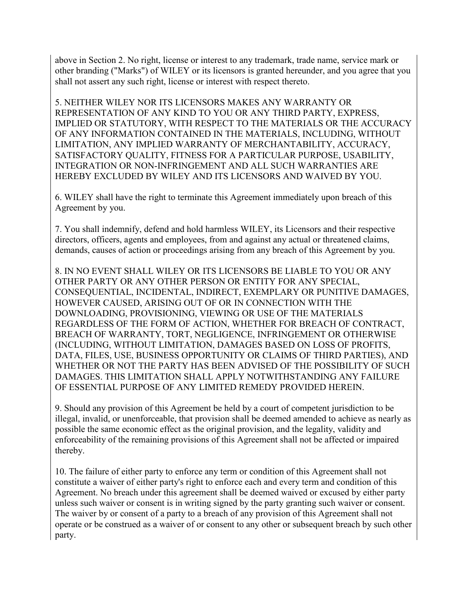above in Section 2. No right, license or interest to any trademark, trade name, service mark or other branding ("Marks") of WILEY or its licensors is granted hereunder, and you agree that you shall not assert any such right, license or interest with respect thereto.

5. NEITHER WILEY NOR ITS LICENSORS MAKES ANY WARRANTY OR REPRESENTATION OF ANY KIND TO YOU OR ANY THIRD PARTY, EXPRESS, IMPLIED OR STATUTORY, WITH RESPECT TO THE MATERIALS OR THE ACCURACY OF ANY INFORMATION CONTAINED IN THE MATERIALS, INCLUDING, WITHOUT LIMITATION, ANY IMPLIED WARRANTY OF MERCHANTABILITY, ACCURACY, SATISFACTORY QUALITY, FITNESS FOR A PARTICULAR PURPOSE, USABILITY, INTEGRATION OR NON-INFRINGEMENT AND ALL SUCH WARRANTIES ARE HEREBY EXCLUDED BY WILEY AND ITS LICENSORS AND WAIVED BY YOU.

6. WILEY shall have the right to terminate this Agreement immediately upon breach of this Agreement by you.

7. You shall indemnify, defend and hold harmless WILEY, its Licensors and their respective directors, officers, agents and employees, from and against any actual or threatened claims, demands, causes of action or proceedings arising from any breach of this Agreement by you.

8. IN NO EVENT SHALL WILEY OR ITS LICENSORS BE LIABLE TO YOU OR ANY OTHER PARTY OR ANY OTHER PERSON OR ENTITY FOR ANY SPECIAL, CONSEQUENTIAL, INCIDENTAL, INDIRECT, EXEMPLARY OR PUNITIVE DAMAGES, HOWEVER CAUSED, ARISING OUT OF OR IN CONNECTION WITH THE DOWNLOADING, PROVISIONING, VIEWING OR USE OF THE MATERIALS REGARDLESS OF THE FORM OF ACTION, WHETHER FOR BREACH OF CONTRACT, BREACH OF WARRANTY, TORT, NEGLIGENCE, INFRINGEMENT OR OTHERWISE (INCLUDING, WITHOUT LIMITATION, DAMAGES BASED ON LOSS OF PROFITS, DATA, FILES, USE, BUSINESS OPPORTUNITY OR CLAIMS OF THIRD PARTIES), AND WHETHER OR NOT THE PARTY HAS BEEN ADVISED OF THE POSSIBILITY OF SUCH DAMAGES. THIS LIMITATION SHALL APPLY NOTWITHSTANDING ANY FAILURE OF ESSENTIAL PURPOSE OF ANY LIMITED REMEDY PROVIDED HEREIN.

9. Should any provision of this Agreement be held by a court of competent jurisdiction to be illegal, invalid, or unenforceable, that provision shall be deemed amended to achieve as nearly as possible the same economic effect as the original provision, and the legality, validity and enforceability of the remaining provisions of this Agreement shall not be affected or impaired thereby.

10. The failure of either party to enforce any term or condition of this Agreement shall not constitute a waiver of either party's right to enforce each and every term and condition of this Agreement. No breach under this agreement shall be deemed waived or excused by either party unless such waiver or consent is in writing signed by the party granting such waiver or consent. The waiver by or consent of a party to a breach of any provision of this Agreement shall not operate or be construed as a waiver of or consent to any other or subsequent breach by such other party.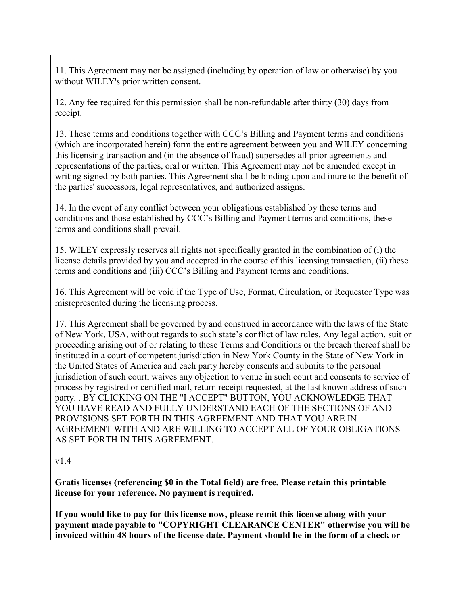11. This Agreement may not be assigned (including by operation of law or otherwise) by you without WILEY's prior written consent.

12. Any fee required for this permission shall be non-refundable after thirty (30) days from receipt.

13. These terms and conditions together with CCC's Billing and Payment terms and conditions (which are incorporated herein) form the entire agreement between you and WILEY concerning this licensing transaction and (in the absence of fraud) supersedes all prior agreements and representations of the parties, oral or written. This Agreement may not be amended except in writing signed by both parties. This Agreement shall be binding upon and inure to the benefit of the parties' successors, legal representatives, and authorized assigns.

14. In the event of any conflict between your obligations established by these terms and conditions and those established by CCC's Billing and Payment terms and conditions, these terms and conditions shall prevail.

15. WILEY expressly reserves all rights not specifically granted in the combination of (i) the license details provided by you and accepted in the course of this licensing transaction, (ii) these terms and conditions and (iii) CCC's Billing and Payment terms and conditions.

16. This Agreement will be void if the Type of Use, Format, Circulation, or Requestor Type was misrepresented during the licensing process.

17. This Agreement shall be governed by and construed in accordance with the laws of the State of New York, USA, without regards to such state's conflict of law rules. Any legal action, suit or proceeding arising out of or relating to these Terms and Conditions or the breach thereof shall be instituted in a court of competent jurisdiction in New York County in the State of New York in the United States of America and each party hereby consents and submits to the personal jurisdiction of such court, waives any objection to venue in such court and consents to service of process by registred or certified mail, return receipt requested, at the last known address of such party. . BY CLICKING ON THE "I ACCEPT" BUTTON, YOU ACKNOWLEDGE THAT YOU HAVE READ AND FULLY UNDERSTAND EACH OF THE SECTIONS OF AND PROVISIONS SET FORTH IN THIS AGREEMENT AND THAT YOU ARE IN AGREEMENT WITH AND ARE WILLING TO ACCEPT ALL OF YOUR OBLIGATIONS AS SET FORTH IN THIS AGREEMENT.

### v1.4

**Gratis licenses (referencing \$0 in the Total field) are free. Please retain this printable license for your reference. No payment is required.**

**If you would like to pay for this license now, please remit this license along with your payment made payable to "COPYRIGHT CLEARANCE CENTER" otherwise you will be invoiced within 48 hours of the license date. Payment should be in the form of a check or**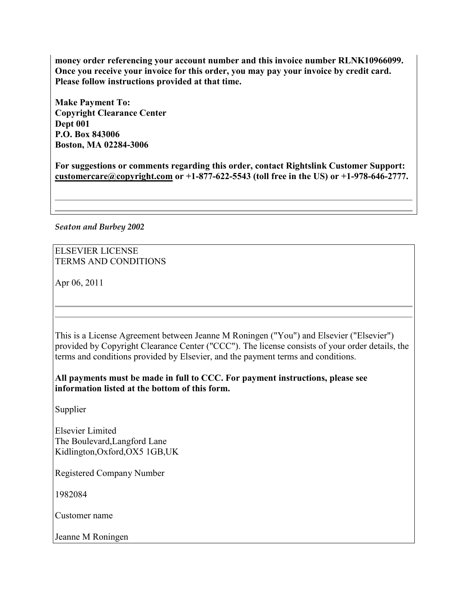**money order referencing your account number and this invoice number RLNK10966099. Once you receive your invoice for this order, you may pay your invoice by credit card. Please follow instructions provided at that time.**

**Make Payment To: Copyright Clearance Center Dept 001 P.O. Box 843006 Boston, MA 02284-3006**

**For suggestions or comments regarding this order, contact Rightslink Customer Support: [customercare@copyright.com](mailto:customercare@copyright.com) or +1-877-622-5543 (toll free in the US) or +1-978-646-2777.**

*Seaton and Burbey 2002*

ELSEVIER LICENSE TERMS AND CONDITIONS

Apr 06, 2011

This is a License Agreement between Jeanne M Roningen ("You") and Elsevier ("Elsevier") provided by Copyright Clearance Center ("CCC"). The license consists of your order details, the terms and conditions provided by Elsevier, and the payment terms and conditions.

**All payments must be made in full to CCC. For payment instructions, please see information listed at the bottom of this form.**

Supplier

Elsevier Limited The Boulevard,Langford Lane Kidlington,Oxford,OX5 1GB,UK

Registered Company Number

1982084

Customer name

Jeanne M Roningen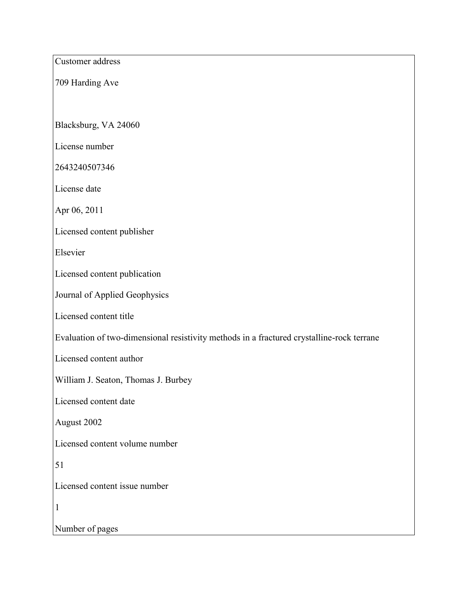Customer address

709 Harding Ave

Blacksburg, VA 24060

License number

2643240507346

License date

Apr 06, 2011

Licensed content publisher

Elsevier

Licensed content publication

Journal of Applied Geophysics

Licensed content title

Evaluation of two-dimensional resistivity methods in a fractured crystalline-rock terrane

Licensed content author

William J. Seaton, Thomas J. Burbey

Licensed content date

August 2002

Licensed content volume number

51

1

Licensed content issue number

Number of pages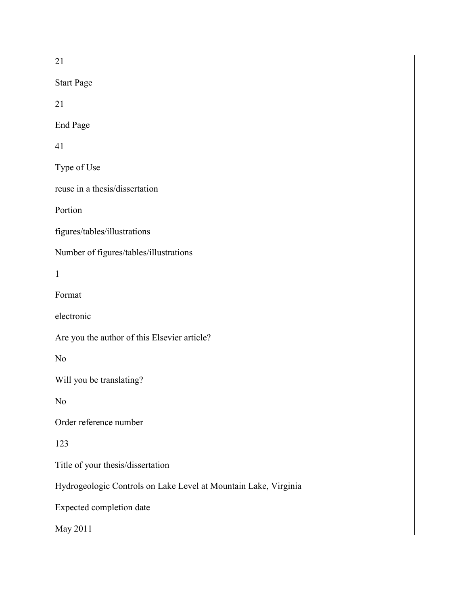| 21                                                              |
|-----------------------------------------------------------------|
| <b>Start Page</b>                                               |
| 21                                                              |
| <b>End Page</b>                                                 |
| 41                                                              |
| Type of Use                                                     |
| reuse in a thesis/dissertation                                  |
| Portion                                                         |
| figures/tables/illustrations                                    |
| Number of figures/tables/illustrations                          |
| $\mathbf{1}$                                                    |
| Format                                                          |
| electronic                                                      |
| Are you the author of this Elsevier article?                    |
| No                                                              |
| Will you be translating?                                        |
| No                                                              |
| Order reference number                                          |
| 123                                                             |
| Title of your thesis/dissertation                               |
| Hydrogeologic Controls on Lake Level at Mountain Lake, Virginia |
| Expected completion date                                        |
| May 2011                                                        |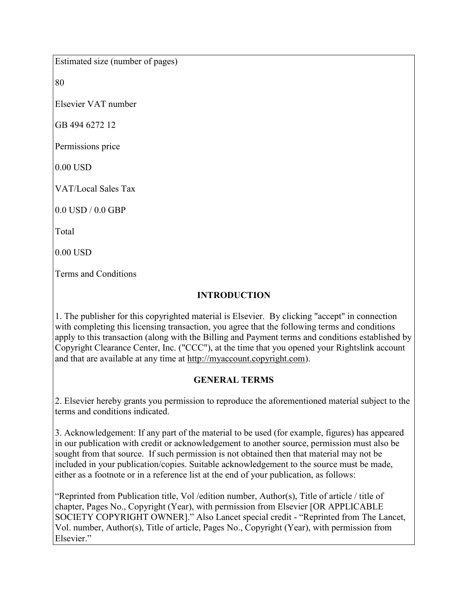Estimated size (number of pages)

80

Elsevier VAT number

GB 494 6272 12

Permissions price

0.00 USD

VAT/Local Sales Tax

0.0 USD / 0.0 GBP

Total

0.00 USD

Terms and Conditions

### **INTRODUCTION**

1. The publisher for this copyrighted material is Elsevier. By clicking "accept" in connection with completing this licensing transaction, you agree that the following terms and conditions apply to this transaction (along with the Billing and Payment terms and conditions established by Copyright Clearance Center, Inc. ("CCC"), at the time that you opened your Rightslink account and that are available at any time at [http://myaccount.copyright.com\)](http://myaccount.copyright.com/).

## **GENERAL TERMS**

2. Elsevier hereby grants you permission to reproduce the aforementioned material subject to the terms and conditions indicated.

3. Acknowledgement: If any part of the material to be used (for example, figures) has appeared in our publication with credit or acknowledgement to another source, permission must also be sought from that source. If such permission is not obtained then that material may not be included in your publication/copies. Suitable acknowledgement to the source must be made, either as a footnote or in a reference list at the end of your publication, as follows:

"Reprinted from Publication title, Vol /edition number, Author(s), Title of article / title of chapter, Pages No., Copyright (Year), with permission from Elsevier [OR APPLICABLE SOCIETY COPYRIGHT OWNER]." Also Lancet special credit - "Reprinted from The Lancet, Vol. number, Author(s), Title of article, Pages No., Copyright (Year), with permission from Elsevier."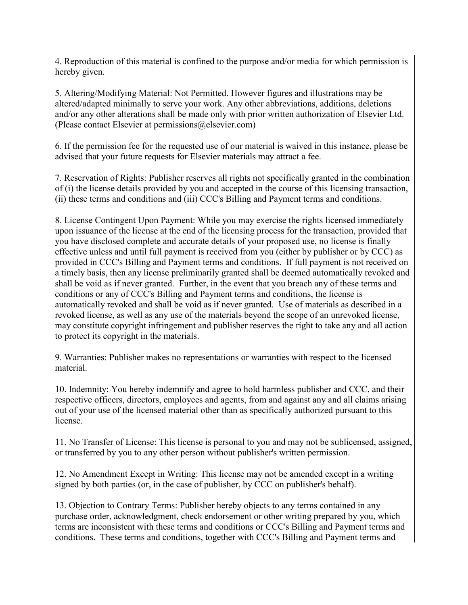4. Reproduction of this material is confined to the purpose and/or media for which permission is hereby given.

5. Altering/Modifying Material: Not Permitted. However figures and illustrations may be altered/adapted minimally to serve your work. Any other abbreviations, additions, deletions and/or any other alterations shall be made only with prior written authorization of Elsevier Ltd. (Please contact Elsevier at permissions $@e$ lsevier.com)

6. If the permission fee for the requested use of our material is waived in this instance, please be advised that your future requests for Elsevier materials may attract a fee.

7. Reservation of Rights: Publisher reserves all rights not specifically granted in the combination of (i) the license details provided by you and accepted in the course of this licensing transaction, (ii) these terms and conditions and (iii) CCC's Billing and Payment terms and conditions.

8. License Contingent Upon Payment: While you may exercise the rights licensed immediately upon issuance of the license at the end of the licensing process for the transaction, provided that you have disclosed complete and accurate details of your proposed use, no license is finally effective unless and until full payment is received from you (either by publisher or by CCC) as provided in CCC's Billing and Payment terms and conditions. If full payment is not received on a timely basis, then any license preliminarily granted shall be deemed automatically revoked and shall be void as if never granted. Further, in the event that you breach any of these terms and conditions or any of CCC's Billing and Payment terms and conditions, the license is automatically revoked and shall be void as if never granted. Use of materials as described in a revoked license, as well as any use of the materials beyond the scope of an unrevoked license, may constitute copyright infringement and publisher reserves the right to take any and all action to protect its copyright in the materials.

9. Warranties: Publisher makes no representations or warranties with respect to the licensed material.

10. Indemnity: You hereby indemnify and agree to hold harmless publisher and CCC, and their respective officers, directors, employees and agents, from and against any and all claims arising out of your use of the licensed material other than as specifically authorized pursuant to this license.

11. No Transfer of License: This license is personal to you and may not be sublicensed, assigned, or transferred by you to any other person without publisher's written permission.

12. No Amendment Except in Writing: This license may not be amended except in a writing signed by both parties (or, in the case of publisher, by CCC on publisher's behalf).

13. Objection to Contrary Terms: Publisher hereby objects to any terms contained in any purchase order, acknowledgment, check endorsement or other writing prepared by you, which terms are inconsistent with these terms and conditions or CCC's Billing and Payment terms and conditions. These terms and conditions, together with CCC's Billing and Payment terms and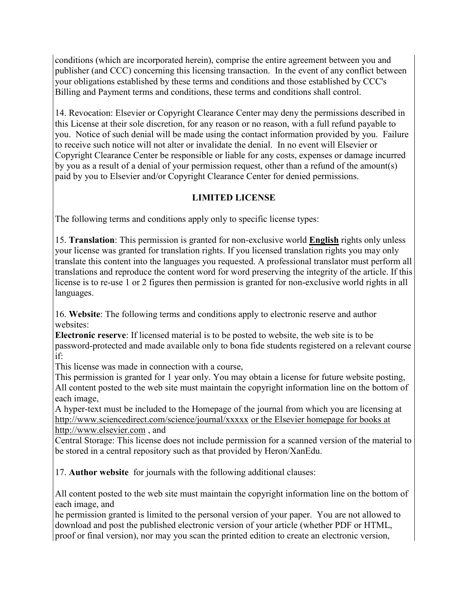conditions (which are incorporated herein), comprise the entire agreement between you and publisher (and CCC) concerning this licensing transaction. In the event of any conflict between your obligations established by these terms and conditions and those established by CCC's Billing and Payment terms and conditions, these terms and conditions shall control.

14. Revocation: Elsevier or Copyright Clearance Center may deny the permissions described in this License at their sole discretion, for any reason or no reason, with a full refund payable to you. Notice of such denial will be made using the contact information provided by you. Failure to receive such notice will not alter or invalidate the denial. In no event will Elsevier or Copyright Clearance Center be responsible or liable for any costs, expenses or damage incurred by you as a result of a denial of your permission request, other than a refund of the amount(s) paid by you to Elsevier and/or Copyright Clearance Center for denied permissions.

# **LIMITED LICENSE**

The following terms and conditions apply only to specific license types:

15. **Translation**: This permission is granted for non-exclusive world **English** rights only unless your license was granted for translation rights. If you licensed translation rights you may only translate this content into the languages you requested. A professional translator must perform all translations and reproduce the content word for word preserving the integrity of the article. If this license is to re-use 1 or 2 figures then permission is granted for non-exclusive world rights in all languages.

16. **Website**: The following terms and conditions apply to electronic reserve and author websites:

**Electronic reserve**: If licensed material is to be posted to website, the web site is to be password-protected and made available only to bona fide students registered on a relevant course if:

This license was made in connection with a course,

This permission is granted for 1 year only. You may obtain a license for future website posting, All content posted to the web site must maintain the copyright information line on the bottom of each image,

A hyper-text must be included to the Homepage of the journal from which you are licensing at <http://www.sciencedirect.com/science/journal/xxxxx> or the Elsevier homepage for books at [http://www.elsevier.com](http://www.elsevier.com/) , and

Central Storage: This license does not include permission for a scanned version of the material to be stored in a central repository such as that provided by Heron/XanEdu.

17. **Author website** for journals with the following additional clauses:

All content posted to the web site must maintain the copyright information line on the bottom of each image, and

he permission granted is limited to the personal version of your paper. You are not allowed to download and post the published electronic version of your article (whether PDF or HTML, proof or final version), nor may you scan the printed edition to create an electronic version,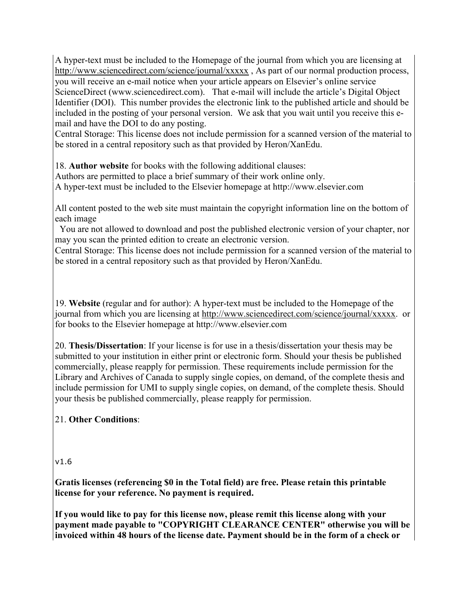A hyper-text must be included to the Homepage of the journal from which you are licensing at <http://www.sciencedirect.com/science/journal/xxxxx>, As part of our normal production process, you will receive an e-mail notice when your article appears on Elsevier's online service ScienceDirect (www.sciencedirect.com). That e-mail will include the article's Digital Object Identifier (DOI). This number provides the electronic link to the published article and should be included in the posting of your personal version. We ask that you wait until you receive this email and have the DOI to do any posting.

Central Storage: This license does not include permission for a scanned version of the material to be stored in a central repository such as that provided by Heron/XanEdu.

18. **Author website** for books with the following additional clauses:

Authors are permitted to place a brief summary of their work online only.

A hyper-text must be included to the Elsevier homepage at http://www.elsevier.com

All content posted to the web site must maintain the copyright information line on the bottom of each image

You are not allowed to download and post the published electronic version of your chapter, nor may you scan the printed edition to create an electronic version.

Central Storage: This license does not include permission for a scanned version of the material to be stored in a central repository such as that provided by Heron/XanEdu.

19. **Website** (regular and for author): A hyper-text must be included to the Homepage of the journal from which you are licensing at [http://www.sciencedirect.com/science/journal/xxxxx.](http://www.sciencedirect.com/science/journal/xxxxx) or for books to the Elsevier homepage at http://www.elsevier.com

20. **Thesis/Dissertation**: If your license is for use in a thesis/dissertation your thesis may be submitted to your institution in either print or electronic form. Should your thesis be published commercially, please reapply for permission. These requirements include permission for the Library and Archives of Canada to supply single copies, on demand, of the complete thesis and include permission for UMI to supply single copies, on demand, of the complete thesis. Should your thesis be published commercially, please reapply for permission.

### 21. **Other Conditions**:

### v1.6

**Gratis licenses (referencing \$0 in the Total field) are free. Please retain this printable license for your reference. No payment is required.**

**If you would like to pay for this license now, please remit this license along with your payment made payable to "COPYRIGHT CLEARANCE CENTER" otherwise you will be invoiced within 48 hours of the license date. Payment should be in the form of a check or**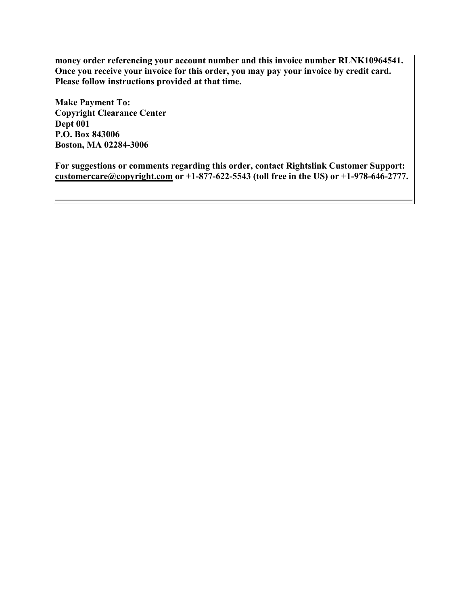**money order referencing your account number and this invoice number RLNK10964541. Once you receive your invoice for this order, you may pay your invoice by credit card. Please follow instructions provided at that time.**

**Make Payment To: Copyright Clearance Center Dept 001 P.O. Box 843006 Boston, MA 02284-3006**

**For suggestions or comments regarding this order, contact Rightslink Customer Support: [customercare@copyright.com](mailto:customercare@copyright.com) or +1-877-622-5543 (toll free in the US) or +1-978-646-2777.**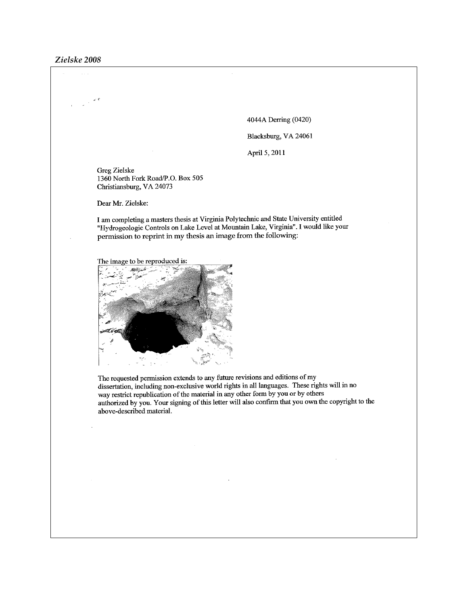4044A Derring (0420)

Blacksburg, VA 24061

April 5, 2011

Greg Zielske 1360 North Fork Road/P.O. Box 505 Christiansburg, VA 24073

Dear Mr. Zielske:

I am completing a masters thesis at Virginia Polytechnic and State University entitled "Hydrogeologic Controls on Lake Level at Mountain Lake, Virginia". I would like your permission to reprint in my thesis an image from the following:

The image to be reproduced is:



The requested permission extends to any future revisions and editions of my dissertation, including non-exclusive world rights in all languages. These rights will in no way restrict republication of the material in any other form by you or by others authorized by you. Your signing of this letter will also confirm that you own the copyright to the above-described material.